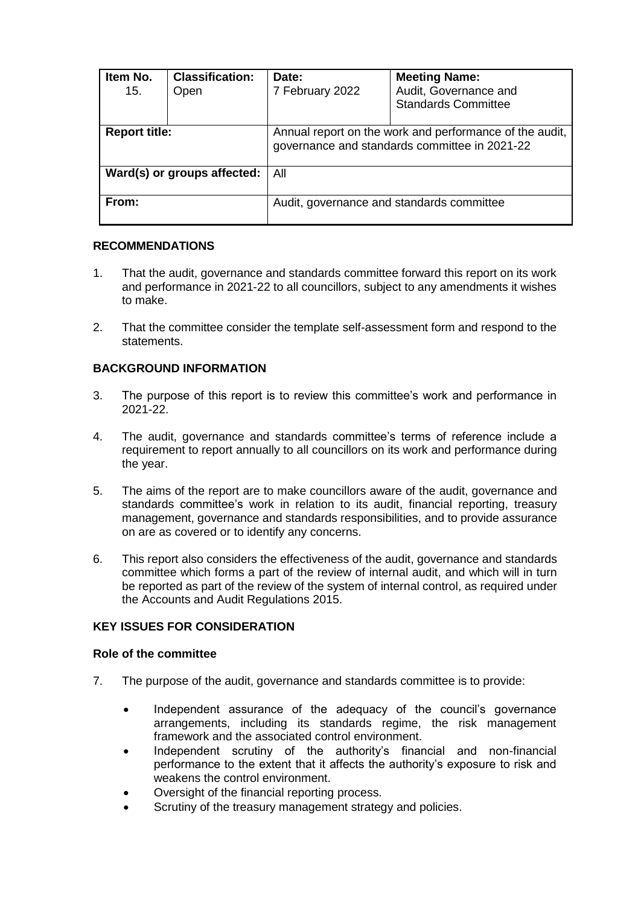| Item No.<br>15.             | <b>Classification:</b><br>Open | Date:<br>7 February 2022                                                                                 | <b>Meeting Name:</b><br>Audit, Governance and<br><b>Standards Committee</b> |
|-----------------------------|--------------------------------|----------------------------------------------------------------------------------------------------------|-----------------------------------------------------------------------------|
| <b>Report title:</b>        |                                | Annual report on the work and performance of the audit,<br>governance and standards committee in 2021-22 |                                                                             |
| Ward(s) or groups affected: |                                | All                                                                                                      |                                                                             |
| From:                       |                                | Audit, governance and standards committee                                                                |                                                                             |

## **RECOMMENDATIONS**

- 1. That the audit, governance and standards committee forward this report on its work and performance in 2021-22 to all councillors, subject to any amendments it wishes to make.
- 2. That the committee consider the template self-assessment form and respond to the statements.

# **BACKGROUND INFORMATION**

- 3. The purpose of this report is to review this committee's work and performance in 2021-22.
- 4. The audit, governance and standards committee's terms of reference include a requirement to report annually to all councillors on its work and performance during the year.
- 5. The aims of the report are to make councillors aware of the audit, governance and standards committee's work in relation to its audit, financial reporting, treasury management, governance and standards responsibilities, and to provide assurance on are as covered or to identify any concerns.
- 6. This report also considers the effectiveness of the audit, governance and standards committee which forms a part of the review of internal audit, and which will in turn be reported as part of the review of the system of internal control, as required under the Accounts and Audit Regulations 2015.

# **KEY ISSUES FOR CONSIDERATION**

## **Role of the committee**

- 7. The purpose of the audit, governance and standards committee is to provide:
	- Independent assurance of the adequacy of the council's governance arrangements, including its standards regime, the risk management framework and the associated control environment.
	- Independent scrutiny of the authority's financial and non-financial performance to the extent that it affects the authority's exposure to risk and weakens the control environment.
	- Oversight of the financial reporting process.
	- Scrutiny of the treasury management strategy and policies.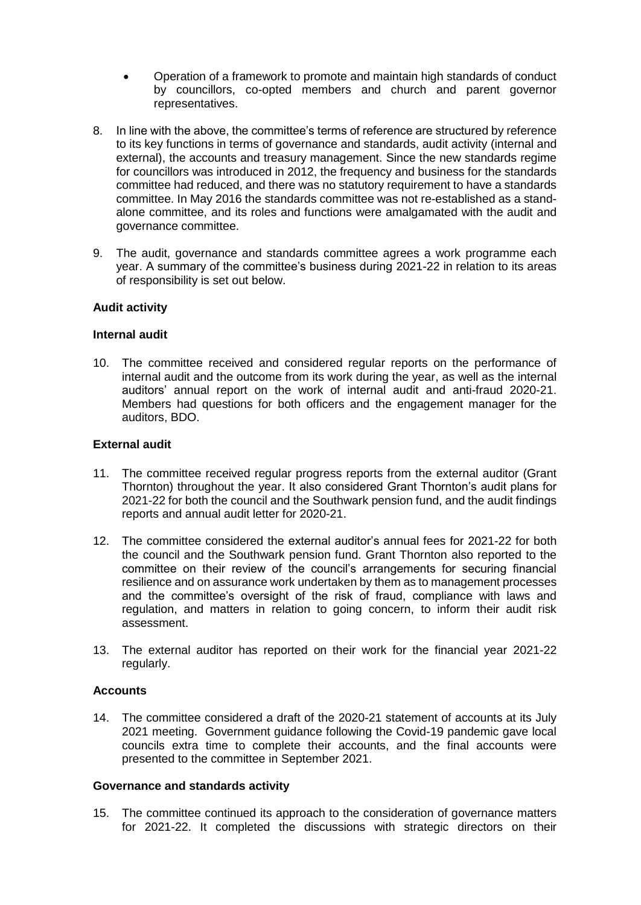- Operation of a framework to promote and maintain high standards of conduct by councillors, co-opted members and church and parent governor representatives.
- 8. In line with the above, the committee's terms of reference are structured by reference to its key functions in terms of governance and standards, audit activity (internal and external), the accounts and treasury management. Since the new standards regime for councillors was introduced in 2012, the frequency and business for the standards committee had reduced, and there was no statutory requirement to have a standards committee. In May 2016 the standards committee was not re-established as a standalone committee, and its roles and functions were amalgamated with the audit and governance committee.
- 9. The audit, governance and standards committee agrees a work programme each year. A summary of the committee's business during 2021-22 in relation to its areas of responsibility is set out below.

### **Audit activity**

### **Internal audit**

10. The committee received and considered regular reports on the performance of internal audit and the outcome from its work during the year, as well as the internal auditors' annual report on the work of internal audit and anti-fraud 2020-21. Members had questions for both officers and the engagement manager for the auditors, BDO.

### **External audit**

- 11. The committee received regular progress reports from the external auditor (Grant Thornton) throughout the year. It also considered Grant Thornton's audit plans for 2021-22 for both the council and the Southwark pension fund, and the audit findings reports and annual audit letter for 2020-21.
- 12. The committee considered the external auditor's annual fees for 2021-22 for both the council and the Southwark pension fund. Grant Thornton also reported to the committee on their review of the council's arrangements for securing financial resilience and on assurance work undertaken by them as to management processes and the committee's oversight of the risk of fraud, compliance with laws and regulation, and matters in relation to going concern, to inform their audit risk assessment.
- 13. The external auditor has reported on their work for the financial year 2021-22 regularly.

### **Accounts**

14. The committee considered a draft of the 2020-21 statement of accounts at its July 2021 meeting. Government guidance following the Covid-19 pandemic gave local councils extra time to complete their accounts, and the final accounts were presented to the committee in September 2021.

### **Governance and standards activity**

15. The committee continued its approach to the consideration of governance matters for 2021-22. It completed the discussions with strategic directors on their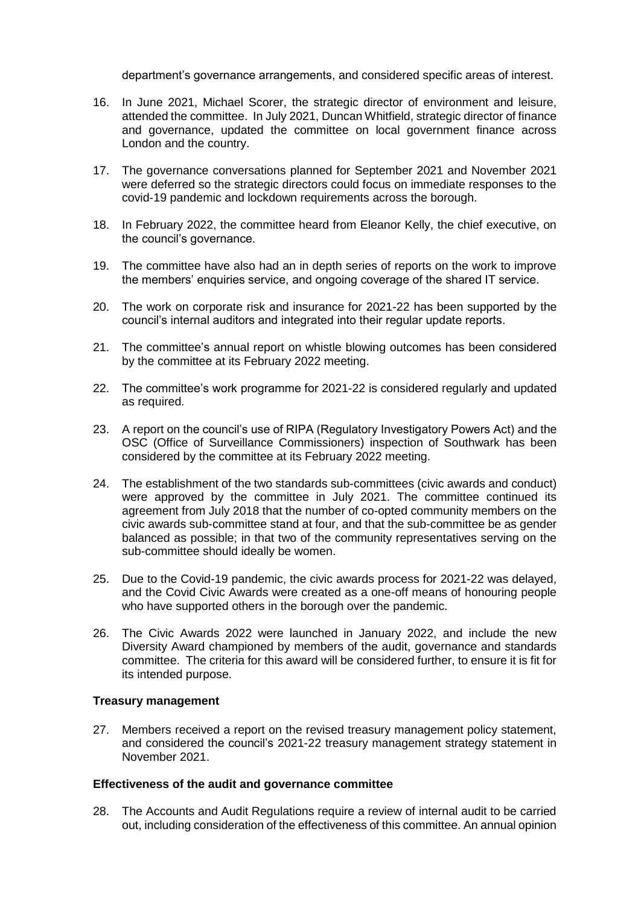department's governance arrangements, and considered specific areas of interest.

- 16. In June 2021, Michael Scorer, the strategic director of environment and leisure, attended the committee. In July 2021, Duncan Whitfield, strategic director of finance and governance, updated the committee on local government finance across London and the country.
- 17. The governance conversations planned for September 2021 and November 2021 were deferred so the strategic directors could focus on immediate responses to the covid-19 pandemic and lockdown requirements across the borough.
- 18. In February 2022, the committee heard from Eleanor Kelly, the chief executive, on the council's governance.
- 19. The committee have also had an in depth series of reports on the work to improve the members' enquiries service, and ongoing coverage of the shared IT service.
- 20. The work on corporate risk and insurance for 2021-22 has been supported by the council's internal auditors and integrated into their regular update reports.
- 21. The committee's annual report on whistle blowing outcomes has been considered by the committee at its February 2022 meeting.
- 22. The committee's work programme for 2021-22 is considered regularly and updated as required.
- 23. A report on the council's use of RIPA (Regulatory Investigatory Powers Act) and the OSC (Office of Surveillance Commissioners) inspection of Southwark has been considered by the committee at its February 2022 meeting.
- 24. The establishment of the two standards sub-committees (civic awards and conduct) were approved by the committee in July 2021. The committee continued its agreement from July 2018 that the number of co-opted community members on the civic awards sub-committee stand at four, and that the sub-committee be as gender balanced as possible; in that two of the community representatives serving on the sub-committee should ideally be women.
- 25. Due to the Covid-19 pandemic, the civic awards process for 2021-22 was delayed, and the Covid Civic Awards were created as a one-off means of honouring people who have supported others in the borough over the pandemic.
- 26. The Civic Awards 2022 were launched in January 2022, and include the new Diversity Award championed by members of the audit, governance and standards committee. The criteria for this award will be considered further, to ensure it is fit for its intended purpose.

### **Treasury management**

27. Members received a report on the revised treasury management policy statement, and considered the council's 2021-22 treasury management strategy statement in November 2021.

### **Effectiveness of the audit and governance committee**

28. The Accounts and Audit Regulations require a review of internal audit to be carried out, including consideration of the effectiveness of this committee. An annual opinion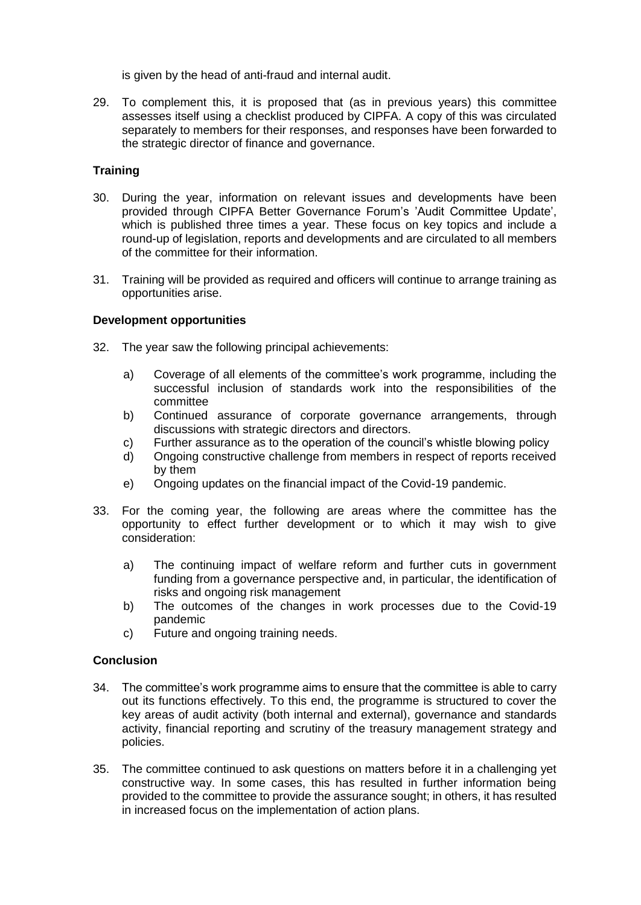is given by the head of anti-fraud and internal audit.

29. To complement this, it is proposed that (as in previous years) this committee assesses itself using a checklist produced by CIPFA. A copy of this was circulated separately to members for their responses, and responses have been forwarded to the strategic director of finance and governance.

## **Training**

- 30. During the year, information on relevant issues and developments have been provided through CIPFA Better Governance Forum's 'Audit Committee Update', which is published three times a year. These focus on key topics and include a round-up of legislation, reports and developments and are circulated to all members of the committee for their information.
- 31. Training will be provided as required and officers will continue to arrange training as opportunities arise.

## **Development opportunities**

- 32. The year saw the following principal achievements:
	- a) Coverage of all elements of the committee's work programme, including the successful inclusion of standards work into the responsibilities of the committee
	- b) Continued assurance of corporate governance arrangements, through discussions with strategic directors and directors.
	- c) Further assurance as to the operation of the council's whistle blowing policy
	- d) Ongoing constructive challenge from members in respect of reports received by them
	- e) Ongoing updates on the financial impact of the Covid-19 pandemic.
- 33. For the coming year, the following are areas where the committee has the opportunity to effect further development or to which it may wish to give consideration:
	- a) The continuing impact of welfare reform and further cuts in government funding from a governance perspective and, in particular, the identification of risks and ongoing risk management
	- b) The outcomes of the changes in work processes due to the Covid-19 pandemic
	- c) Future and ongoing training needs.

## **Conclusion**

- 34. The committee's work programme aims to ensure that the committee is able to carry out its functions effectively. To this end, the programme is structured to cover the key areas of audit activity (both internal and external), governance and standards activity, financial reporting and scrutiny of the treasury management strategy and policies.
- 35. The committee continued to ask questions on matters before it in a challenging yet constructive way. In some cases, this has resulted in further information being provided to the committee to provide the assurance sought; in others, it has resulted in increased focus on the implementation of action plans.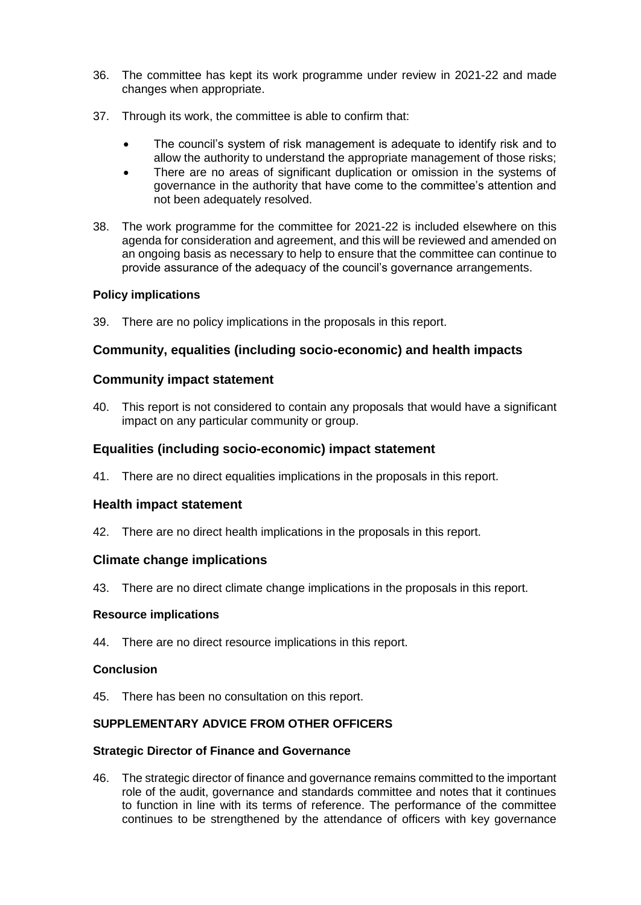- 36. The committee has kept its work programme under review in 2021-22 and made changes when appropriate.
- 37. Through its work, the committee is able to confirm that:
	- The council's system of risk management is adequate to identify risk and to allow the authority to understand the appropriate management of those risks;
	- There are no areas of significant duplication or omission in the systems of governance in the authority that have come to the committee's attention and not been adequately resolved.
- 38. The work programme for the committee for 2021-22 is included elsewhere on this agenda for consideration and agreement, and this will be reviewed and amended on an ongoing basis as necessary to help to ensure that the committee can continue to provide assurance of the adequacy of the council's governance arrangements.

## **Policy implications**

39. There are no policy implications in the proposals in this report.

# **Community, equalities (including socio-economic) and health impacts**

## **Community impact statement**

40. This report is not considered to contain any proposals that would have a significant impact on any particular community or group.

## **Equalities (including socio-economic) impact statement**

41. There are no direct equalities implications in the proposals in this report.

# **Health impact statement**

42. There are no direct health implications in the proposals in this report.

## **Climate change implications**

43. There are no direct climate change implications in the proposals in this report.

## **Resource implications**

44. There are no direct resource implications in this report.

## **Conclusion**

45. There has been no consultation on this report.

## **SUPPLEMENTARY ADVICE FROM OTHER OFFICERS**

## **Strategic Director of Finance and Governance**

46. The strategic director of finance and governance remains committed to the important role of the audit, governance and standards committee and notes that it continues to function in line with its terms of reference. The performance of the committee continues to be strengthened by the attendance of officers with key governance